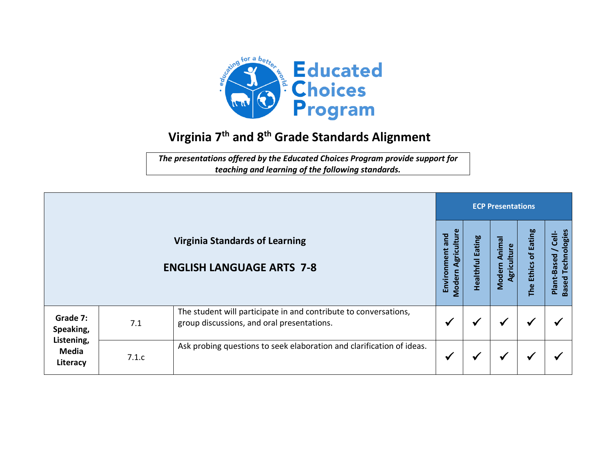

## **Virginia 7 th and 8 th Grade Standards Alignment**

*The presentations offered by the Educated Choices Program provide support for teaching and learning of the following standards.*

|                                                                 |       |                                                                                                                |                                          |                            |                                 | <b>ECP Presentations</b> |                                                      |  |  |  |  |
|-----------------------------------------------------------------|-------|----------------------------------------------------------------------------------------------------------------|------------------------------------------|----------------------------|---------------------------------|--------------------------|------------------------------------------------------|--|--|--|--|
|                                                                 |       | <b>Virginia Standards of Learning</b><br><b>ENGLISH LANGUAGE ARTS 7-8</b>                                      | Agriculture<br>Environment and<br>Modern | Eating<br><b>Healthful</b> | Animal<br>Agriculture<br>Modern | of Eating<br>The Ethics  | Technologies<br>Cell-<br>Plant-Based<br><b>Based</b> |  |  |  |  |
| Grade 7:<br>Speaking,<br>Listening,<br><b>Media</b><br>Literacy | 7.1   | The student will participate in and contribute to conversations,<br>group discussions, and oral presentations. |                                          | ₩                          | ✔                               | ✔                        |                                                      |  |  |  |  |
|                                                                 | 7.1.c | Ask probing questions to seek elaboration and clarification of ideas.                                          | ✔                                        |                            | $\checkmark$                    | ✔                        |                                                      |  |  |  |  |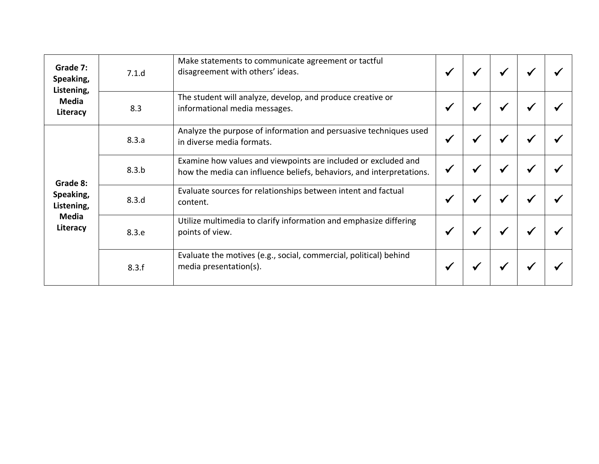| Grade 7:<br>Speaking,<br>Listening,<br><b>Media</b><br>Literacy | 7.1.d | Make statements to communicate agreement or tactful<br>disagreement with others' ideas.                                                |  |  |  |
|-----------------------------------------------------------------|-------|----------------------------------------------------------------------------------------------------------------------------------------|--|--|--|
|                                                                 | 8.3   | The student will analyze, develop, and produce creative or<br>informational media messages.                                            |  |  |  |
| Grade 8:<br>Speaking,<br>Listening,<br>Media<br>Literacy        | 8.3.a | Analyze the purpose of information and persuasive techniques used<br>in diverse media formats.                                         |  |  |  |
|                                                                 | 8.3.b | Examine how values and viewpoints are included or excluded and<br>how the media can influence beliefs, behaviors, and interpretations. |  |  |  |
|                                                                 | 8.3.d | Evaluate sources for relationships between intent and factual<br>content.                                                              |  |  |  |
|                                                                 | 8.3.e | Utilize multimedia to clarify information and emphasize differing<br>points of view.                                                   |  |  |  |
|                                                                 | 8.3.f | Evaluate the motives (e.g., social, commercial, political) behind<br>media presentation(s).                                            |  |  |  |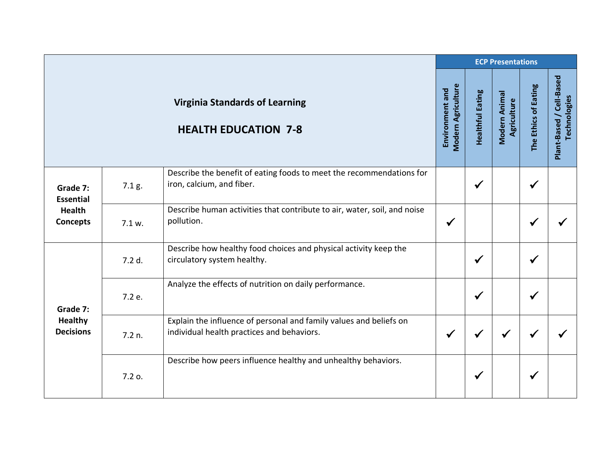|                                                                  |        |                                                                                                                  |                                       |                         | <b>ECP Presentations</b>     |                      |                                          |
|------------------------------------------------------------------|--------|------------------------------------------------------------------------------------------------------------------|---------------------------------------|-------------------------|------------------------------|----------------------|------------------------------------------|
|                                                                  |        | <b>Virginia Standards of Learning</b><br><b>HEALTH EDUCATION 7-8</b>                                             | Modern Agriculture<br>Environment and | <b>Healthful Eating</b> | Modern Animal<br>Agriculture | The Ethics of Eating | Plant-Based / Cell-Based<br>Technologies |
| Grade 7:<br><b>Essential</b><br><b>Health</b><br><b>Concepts</b> | 7.1 g. | Describe the benefit of eating foods to meet the recommendations for<br>iron, calcium, and fiber.                |                                       | $\checkmark$            |                              |                      |                                          |
|                                                                  | 7.1 w. | Describe human activities that contribute to air, water, soil, and noise<br>pollution.                           | $\checkmark$                          |                         |                              |                      |                                          |
|                                                                  | 7.2 d. | Describe how healthy food choices and physical activity keep the<br>circulatory system healthy.                  |                                       | $\checkmark$            |                              |                      |                                          |
| Grade 7:<br><b>Healthy</b><br><b>Decisions</b>                   | 7.2 e. | Analyze the effects of nutrition on daily performance.                                                           |                                       | $\checkmark$            |                              | $\checkmark$         |                                          |
|                                                                  | 7.2 n. | Explain the influence of personal and family values and beliefs on<br>individual health practices and behaviors. | $\checkmark$                          | ✔                       |                              |                      |                                          |
|                                                                  | 7.2 o. | Describe how peers influence healthy and unhealthy behaviors.                                                    |                                       | ✔                       |                              |                      |                                          |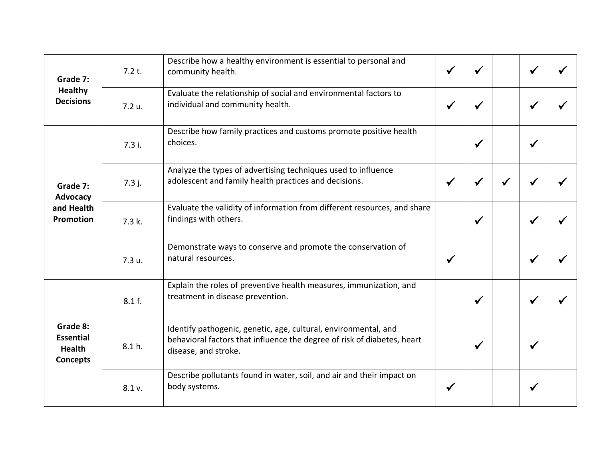| Grade 7:<br><b>Healthy</b><br><b>Decisions</b>                   | 7.2 t. | Describe how a healthy environment is essential to personal and<br>community health.                                                                               |              |              |              |  |
|------------------------------------------------------------------|--------|--------------------------------------------------------------------------------------------------------------------------------------------------------------------|--------------|--------------|--------------|--|
|                                                                  | 7.2 u. | Evaluate the relationship of social and environmental factors to<br>individual and community health.                                                               | $\checkmark$ |              | $\checkmark$ |  |
| Grade 7:<br>Advocacy<br>and Health<br><b>Promotion</b>           | 7.3i.  | Describe how family practices and customs promote positive health<br>choices.                                                                                      |              | $\checkmark$ | $\checkmark$ |  |
|                                                                  | 7.3 j. | Analyze the types of advertising techniques used to influence<br>adolescent and family health practices and decisions.                                             | $\checkmark$ | √            | ✔            |  |
|                                                                  | 7.3 k. | Evaluate the validity of information from different resources, and share<br>findings with others.                                                                  |              | $\checkmark$ | $\checkmark$ |  |
|                                                                  | 7.3 u. | Demonstrate ways to conserve and promote the conservation of<br>natural resources.                                                                                 | $\checkmark$ |              | $\checkmark$ |  |
| Grade 8:<br><b>Essential</b><br><b>Health</b><br><b>Concepts</b> | 8.1 f. | Explain the roles of preventive health measures, immunization, and<br>treatment in disease prevention.                                                             |              | $\checkmark$ | $\checkmark$ |  |
|                                                                  | 8.1 h. | Identify pathogenic, genetic, age, cultural, environmental, and<br>behavioral factors that influence the degree of risk of diabetes, heart<br>disease, and stroke. |              | $\checkmark$ | $\checkmark$ |  |
|                                                                  | 8.1 v. | Describe pollutants found in water, soil, and air and their impact on<br>body systems.                                                                             | $\checkmark$ |              | $\checkmark$ |  |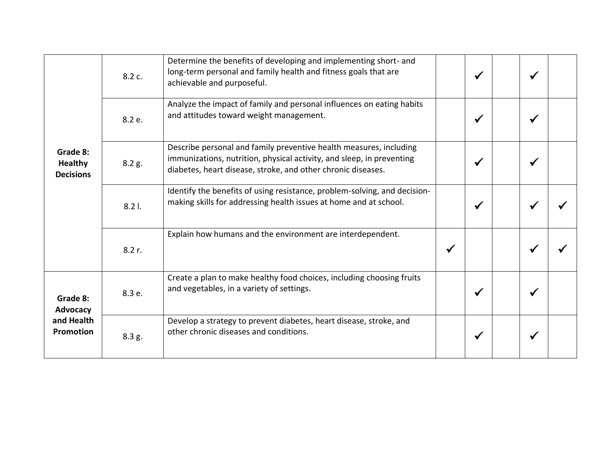| Grade 8:<br><b>Healthy</b><br><b>Decisions</b>  | 8.2 c. | Determine the benefits of developing and implementing short- and<br>long-term personal and family health and fitness goals that are<br>achievable and purposeful.                                           |              | $\checkmark$ | ✔ |  |
|-------------------------------------------------|--------|-------------------------------------------------------------------------------------------------------------------------------------------------------------------------------------------------------------|--------------|--------------|---|--|
|                                                 | 8.2 e. | Analyze the impact of family and personal influences on eating habits<br>and attitudes toward weight management.                                                                                            |              | $\checkmark$ | ✔ |  |
|                                                 | 8.2 g. | Describe personal and family preventive health measures, including<br>immunizations, nutrition, physical activity, and sleep, in preventing<br>diabetes, heart disease, stroke, and other chronic diseases. |              | $\checkmark$ | ✔ |  |
|                                                 | 8.21.  | Identify the benefits of using resistance, problem-solving, and decision-<br>making skills for addressing health issues at home and at school.                                                              |              | √            |   |  |
|                                                 | 8.2 r. | Explain how humans and the environment are interdependent.                                                                                                                                                  | $\checkmark$ |              |   |  |
| Grade 8:<br>Advocacy<br>and Health<br>Promotion | 8.3 e. | Create a plan to make healthy food choices, including choosing fruits<br>and vegetables, in a variety of settings.                                                                                          |              | $\checkmark$ | ✔ |  |
|                                                 | 8.3 g. | Develop a strategy to prevent diabetes, heart disease, stroke, and<br>other chronic diseases and conditions.                                                                                                |              | ✔            |   |  |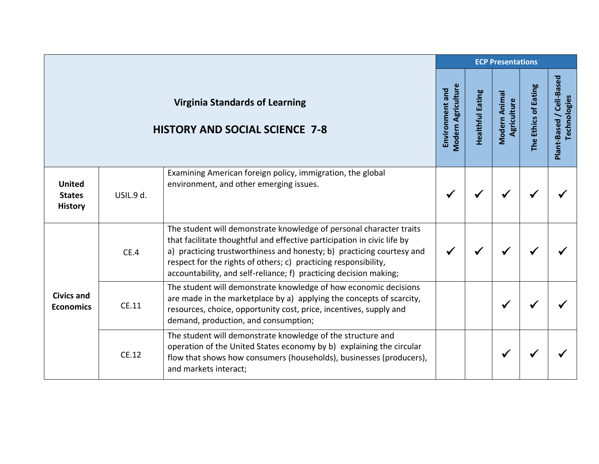|                                                  |           |                                                                                                                                                                                                                                                                                                                                                                 |                                              |                         | <b>ECP Presentations</b>     |                      |                                          |
|--------------------------------------------------|-----------|-----------------------------------------------------------------------------------------------------------------------------------------------------------------------------------------------------------------------------------------------------------------------------------------------------------------------------------------------------------------|----------------------------------------------|-------------------------|------------------------------|----------------------|------------------------------------------|
|                                                  |           | <b>Virginia Standards of Learning</b><br><b>HISTORY AND SOCIAL SCIENCE 7-8</b>                                                                                                                                                                                                                                                                                  | <b>Modern Agriculture</b><br>Environment and | <b>Healthful Eating</b> | Modern Animal<br>Agriculture | The Ethics of Eating | Plant-Based / Cell-Based<br>Technologies |
| <b>United</b><br><b>States</b><br><b>History</b> | USIL.9 d. | Examining American foreign policy, immigration, the global<br>environment, and other emerging issues.                                                                                                                                                                                                                                                           | $\checkmark$                                 |                         |                              |                      |                                          |
| <b>Civics and</b><br><b>Economics</b>            | CE.4      | The student will demonstrate knowledge of personal character traits<br>that facilitate thoughtful and effective participation in civic life by<br>a) practicing trustworthiness and honesty; b) practicing courtesy and<br>respect for the rights of others; c) practicing responsibility,<br>accountability, and self-reliance; f) practicing decision making; | ✔                                            |                         |                              |                      |                                          |
|                                                  | CE.11     | The student will demonstrate knowledge of how economic decisions<br>are made in the marketplace by a) applying the concepts of scarcity,<br>resources, choice, opportunity cost, price, incentives, supply and<br>demand, production, and consumption;                                                                                                          |                                              |                         |                              |                      |                                          |
|                                                  | CE.12     | The student will demonstrate knowledge of the structure and<br>operation of the United States economy by b) explaining the circular<br>flow that shows how consumers (households), businesses (producers),<br>and markets interact;                                                                                                                             |                                              |                         | $\checkmark$                 |                      |                                          |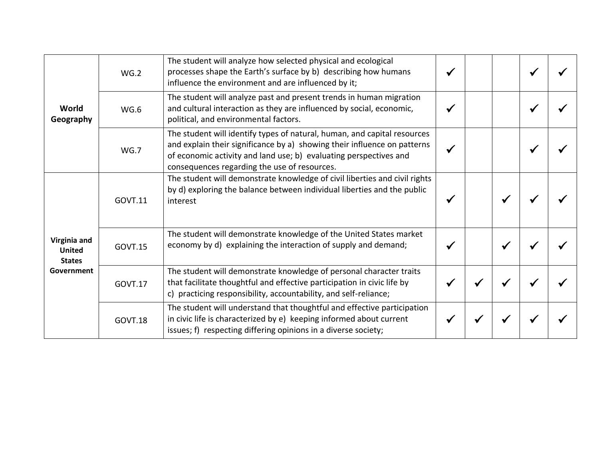| World<br>Geography                                           | WG.2           | The student will analyze how selected physical and ecological<br>processes shape the Earth's surface by b) describing how humans<br>influence the environment and are influenced by it;                                                                                   |              |   |  |
|--------------------------------------------------------------|----------------|---------------------------------------------------------------------------------------------------------------------------------------------------------------------------------------------------------------------------------------------------------------------------|--------------|---|--|
|                                                              | WG.6           | The student will analyze past and present trends in human migration<br>and cultural interaction as they are influenced by social, economic,<br>political, and environmental factors.                                                                                      | $\checkmark$ |   |  |
|                                                              | WG.7           | The student will identify types of natural, human, and capital resources<br>and explain their significance by a) showing their influence on patterns<br>of economic activity and land use; b) evaluating perspectives and<br>consequences regarding the use of resources. |              |   |  |
| Virginia and<br><b>United</b><br><b>States</b><br>Government | <b>GOVT.11</b> | The student will demonstrate knowledge of civil liberties and civil rights<br>by d) exploring the balance between individual liberties and the public<br>interest                                                                                                         | ✔            |   |  |
|                                                              | <b>GOVT.15</b> | The student will demonstrate knowledge of the United States market<br>economy by d) explaining the interaction of supply and demand;                                                                                                                                      | √            | ✔ |  |
|                                                              | GOVT.17        | The student will demonstrate knowledge of personal character traits<br>that facilitate thoughtful and effective participation in civic life by<br>c) practicing responsibility, accountability, and self-reliance;                                                        | ✔            |   |  |
|                                                              | <b>GOVT.18</b> | The student will understand that thoughtful and effective participation<br>in civic life is characterized by e) keeping informed about current<br>issues; f) respecting differing opinions in a diverse society;                                                          |              |   |  |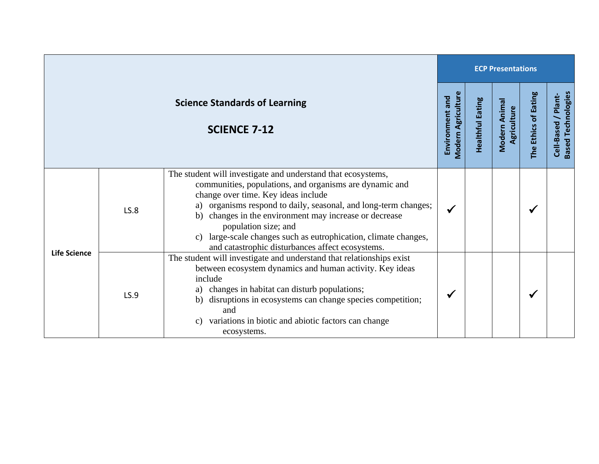|                     |             |                                                                                                                                                                                                                                                                                                                                                                                                                                            | <b>ECP Presentations</b>                     |                         |                              |                      |                                                  |  |
|---------------------|-------------|--------------------------------------------------------------------------------------------------------------------------------------------------------------------------------------------------------------------------------------------------------------------------------------------------------------------------------------------------------------------------------------------------------------------------------------------|----------------------------------------------|-------------------------|------------------------------|----------------------|--------------------------------------------------|--|
|                     |             | <b>Science Standards of Learning</b><br><b>SCIENCE 7-12</b>                                                                                                                                                                                                                                                                                                                                                                                | <b>Modern Agriculture</b><br>Environment and | <b>Healthful Eating</b> | Modern Animal<br>Agriculture | The Ethics of Eating | <b>Based Technologies</b><br>Cell-Based / Plant- |  |
| <b>Life Science</b> | <b>LS.8</b> | The student will investigate and understand that ecosystems,<br>communities, populations, and organisms are dynamic and<br>change over time. Key ideas include<br>a) organisms respond to daily, seasonal, and long-term changes;<br>b) changes in the environment may increase or decrease<br>population size; and<br>c) large-scale changes such as eutrophication, climate changes,<br>and catastrophic disturbances affect ecosystems. | ✔                                            |                         |                              | $\checkmark$         |                                                  |  |
|                     | LS.9        | The student will investigate and understand that relationships exist<br>between ecosystem dynamics and human activity. Key ideas<br>include<br>changes in habitat can disturb populations;<br>a)<br>disruptions in ecosystems can change species competition;<br>b)<br>and<br>variations in biotic and abiotic factors can change<br>$\mathcal{C}$ )<br>ecosystems.                                                                        |                                              |                         |                              | $\checkmark$         |                                                  |  |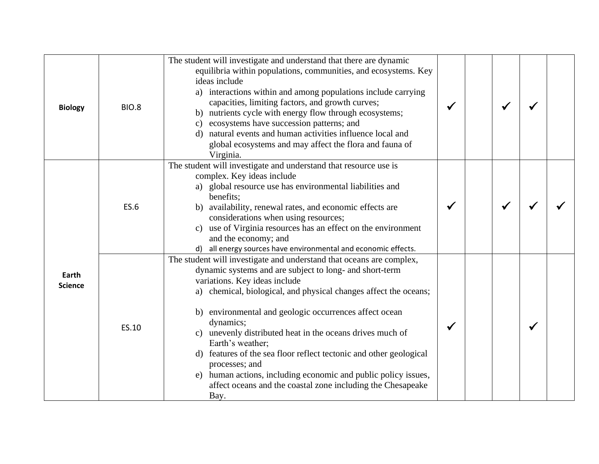| <b>Biology</b>          | <b>BIO.8</b> | The student will investigate and understand that there are dynamic<br>equilibria within populations, communities, and ecosystems. Key<br>ideas include<br>a) interactions within and among populations include carrying<br>capacities, limiting factors, and growth curves;<br>b) nutrients cycle with energy flow through ecosystems;<br>c) ecosystems have succession patterns; and<br>d) natural events and human activities influence local and<br>global ecosystems and may affect the flora and fauna of<br>Virginia.                                                                                                   |  |   |  |
|-------------------------|--------------|-------------------------------------------------------------------------------------------------------------------------------------------------------------------------------------------------------------------------------------------------------------------------------------------------------------------------------------------------------------------------------------------------------------------------------------------------------------------------------------------------------------------------------------------------------------------------------------------------------------------------------|--|---|--|
| Earth<br><b>Science</b> | <b>ES.6</b>  | The student will investigate and understand that resource use is<br>complex. Key ideas include<br>a) global resource use has environmental liabilities and<br>benefits;<br>b) availability, renewal rates, and economic effects are<br>considerations when using resources;<br>c) use of Virginia resources has an effect on the environment<br>and the economy; and<br>d) all energy sources have environmental and economic effects.                                                                                                                                                                                        |  |   |  |
|                         | ES.10        | The student will investigate and understand that oceans are complex,<br>dynamic systems and are subject to long- and short-term<br>variations. Key ideas include<br>a) chemical, biological, and physical changes affect the oceans;<br>b) environmental and geologic occurrences affect ocean<br>dynamics;<br>c) unevenly distributed heat in the oceans drives much of<br>Earth's weather;<br>d) features of the sea floor reflect tectonic and other geological<br>processes; and<br>e) human actions, including economic and public policy issues,<br>affect oceans and the coastal zone including the Chesapeake<br>Bay. |  | ✔ |  |